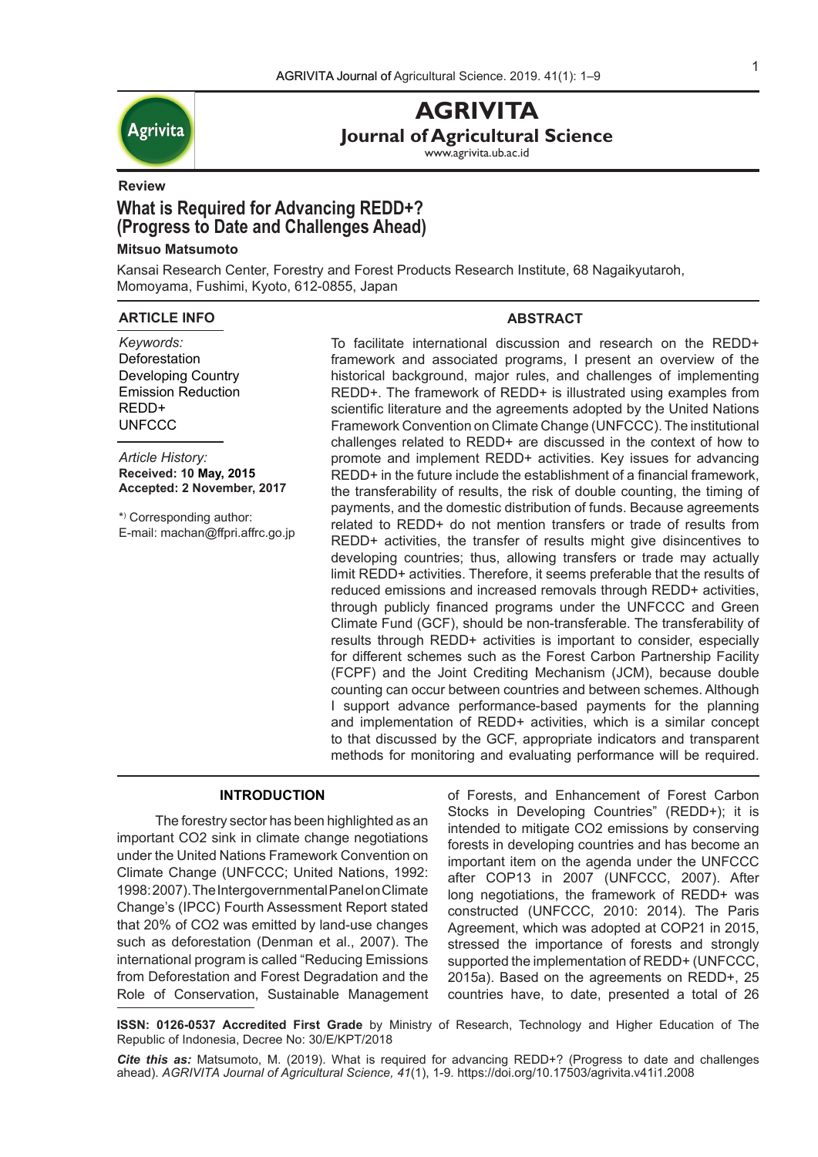

**AGRIVITA Journal of Agricultural Science**

www.agrivita.ub.ac.id

## **Review**

# **What is Required for Advancing REDD+? (Progress to Date and Challenges Ahead)**

## **Mitsuo Matsumoto**

Kansai Research Center, Forestry and Forest Products Research Institute, 68 Nagaikyutaroh, Momoyama, Fushimi, Kyoto, 612-0855, Japan

## **ARTICLE INFO**

*Keywords:* **Deforestation** Developing Country Emission Reduction REDD+ **UNFCCC** 

*Article History:* **Received: 10 May, 2015 Accepted: 2 November, 2017**

\*) Corresponding author: E-mail: machan@ffpri.affrc.go.jp **ABSTRACT** 

To facilitate international discussion and research on the REDD+ framework and associated programs, I present an overview of the historical background, major rules, and challenges of implementing REDD+. The framework of REDD+ is illustrated using examples from scientific literature and the agreements adopted by the United Nations Framework Convention on Climate Change (UNFCCC). The institutional challenges related to REDD+ are discussed in the context of how to promote and implement REDD+ activities. Key issues for advancing REDD+ in the future include the establishment of a financial framework, the transferability of results, the risk of double counting, the timing of payments, and the domestic distribution of funds. Because agreements related to REDD+ do not mention transfers or trade of results from REDD+ activities, the transfer of results might give disincentives to developing countries; thus, allowing transfers or trade may actually limit REDD+ activities. Therefore, it seems preferable that the results of reduced emissions and increased removals through REDD+ activities, through publicly financed programs under the UNFCCC and Green Climate Fund (GCF), should be non-transferable. The transferability of results through REDD+ activities is important to consider, especially for different schemes such as the Forest Carbon Partnership Facility (FCPF) and the Joint Crediting Mechanism (JCM), because double counting can occur between countries and between schemes. Although I support advance performance-based payments for the planning and implementation of REDD+ activities, which is a similar concept to that discussed by the GCF, appropriate indicators and transparent methods for monitoring and evaluating performance will be required.

## **INTRODUCTION**

The forestry sector has been highlighted as an important CO2 sink in climate change negotiations under the United Nations Framework Convention on Climate Change (UNFCCC; United Nations, 1992: 1998: 2007). The Intergovernmental Panel on Climate Change's (IPCC) Fourth Assessment Report stated that 20% of CO2 was emitted by land-use changes such as deforestation (Denman et al., 2007). The international program is called "Reducing Emissions from Deforestation and Forest Degradation and the Role of Conservation, Sustainable Management of Forests, and Enhancement of Forest Carbon Stocks in Developing Countries" (REDD+); it is intended to mitigate CO2 emissions by conserving forests in developing countries and has become an important item on the agenda under the UNFCCC after COP13 in 2007 (UNFCCC, 2007). After long negotiations, the framework of REDD+ was constructed (UNFCCC, 2010: 2014). The Paris Agreement, which was adopted at COP21 in 2015, stressed the importance of forests and strongly supported the implementation of REDD+ (UNFCCC, 2015a). Based on the agreements on REDD+, 25 countries have, to date, presented a total of 26

**ISSN: 0126-0537 Accredited First Grade** by Ministry of Research, Technology and Higher Education of The Republic of Indonesia, Decree No: 30/E/KPT/2018

*Cite this as:* Matsumoto, M. (2019). What is required for advancing REDD+? (Progress to date and challenges ahead). *AGRIVITA Journal of Agricultural Science, 41*(1), 1-9. https://doi.org/10.17503/agrivita.v41i1.2008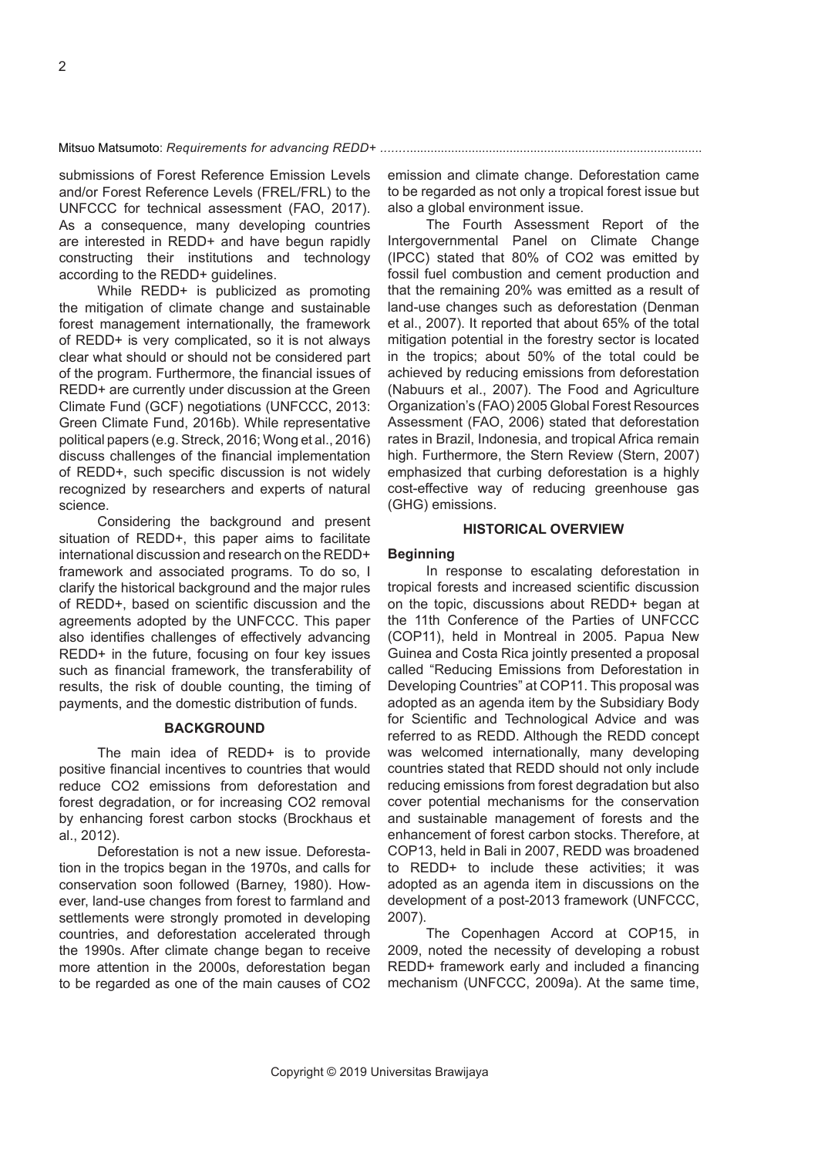submissions of Forest Reference Emission Levels and/or Forest Reference Levels (FREL/FRL) to the UNFCCC for technical assessment (FAO, 2017). As a consequence, many developing countries are interested in REDD+ and have begun rapidly constructing their institutions and technology according to the REDD+ guidelines.

While REDD+ is publicized as promoting the mitigation of climate change and sustainable forest management internationally, the framework of REDD+ is very complicated, so it is not always clear what should or should not be considered part of the program. Furthermore, the financial issues of REDD+ are currently under discussion at the Green Climate Fund (GCF) negotiations (UNFCCC, 2013: Green Climate Fund, 2016b). While representative political papers (e.g. Streck, 2016; Wong et al., 2016) discuss challenges of the financial implementation of REDD+, such specific discussion is not widely recognized by researchers and experts of natural science.

Considering the background and present situation of REDD+, this paper aims to facilitate international discussion and research on the REDD+ framework and associated programs. To do so, I clarify the historical background and the major rules of REDD+, based on scientific discussion and the agreements adopted by the UNFCCC. This paper also identifies challenges of effectively advancing REDD+ in the future, focusing on four key issues such as financial framework, the transferability of results, the risk of double counting, the timing of payments, and the domestic distribution of funds.

## **BACKGROUND**

The main idea of REDD+ is to provide positive financial incentives to countries that would reduce CO2 emissions from deforestation and forest degradation, or for increasing CO2 removal by enhancing forest carbon stocks (Brockhaus et al., 2012).

Deforestation is not a new issue. Deforestation in the tropics began in the 1970s, and calls for conservation soon followed (Barney, 1980). However, land-use changes from forest to farmland and settlements were strongly promoted in developing countries, and deforestation accelerated through the 1990s. After climate change began to receive more attention in the 2000s, deforestation began to be regarded as one of the main causes of CO2

emission and climate change. Deforestation came to be regarded as not only a tropical forest issue but also a global environment issue.

The Fourth Assessment Report of the Intergovernmental Panel on Climate Change (IPCC) stated that 80% of CO2 was emitted by fossil fuel combustion and cement production and that the remaining 20% was emitted as a result of land-use changes such as deforestation (Denman et al., 2007). It reported that about 65% of the total mitigation potential in the forestry sector is located in the tropics; about 50% of the total could be achieved by reducing emissions from deforestation (Nabuurs et al., 2007). The Food and Agriculture Organization's (FAO) 2005 Global Forest Resources Assessment (FAO, 2006) stated that deforestation rates in Brazil, Indonesia, and tropical Africa remain high. Furthermore, the Stern Review (Stern, 2007) emphasized that curbing deforestation is a highly cost-effective way of reducing greenhouse gas (GHG) emissions.

### **HISTORICAL OVERVIEW**

#### **Beginning**

In response to escalating deforestation in tropical forests and increased scientific discussion on the topic, discussions about REDD+ began at the 11th Conference of the Parties of UNFCCC (COP11), held in Montreal in 2005. Papua New Guinea and Costa Rica jointly presented a proposal called "Reducing Emissions from Deforestation in Developing Countries" at COP11. This proposal was adopted as an agenda item by the Subsidiary Body for Scientific and Technological Advice and was referred to as REDD. Although the REDD concept was welcomed internationally, many developing countries stated that REDD should not only include reducing emissions from forest degradation but also cover potential mechanisms for the conservation and sustainable management of forests and the enhancement of forest carbon stocks. Therefore, at COP13, held in Bali in 2007, REDD was broadened to REDD+ to include these activities; it was adopted as an agenda item in discussions on the development of a post-2013 framework (UNFCCC, 2007).

The Copenhagen Accord at COP15, in 2009, noted the necessity of developing a robust REDD+ framework early and included a financing mechanism (UNFCCC, 2009a). At the same time,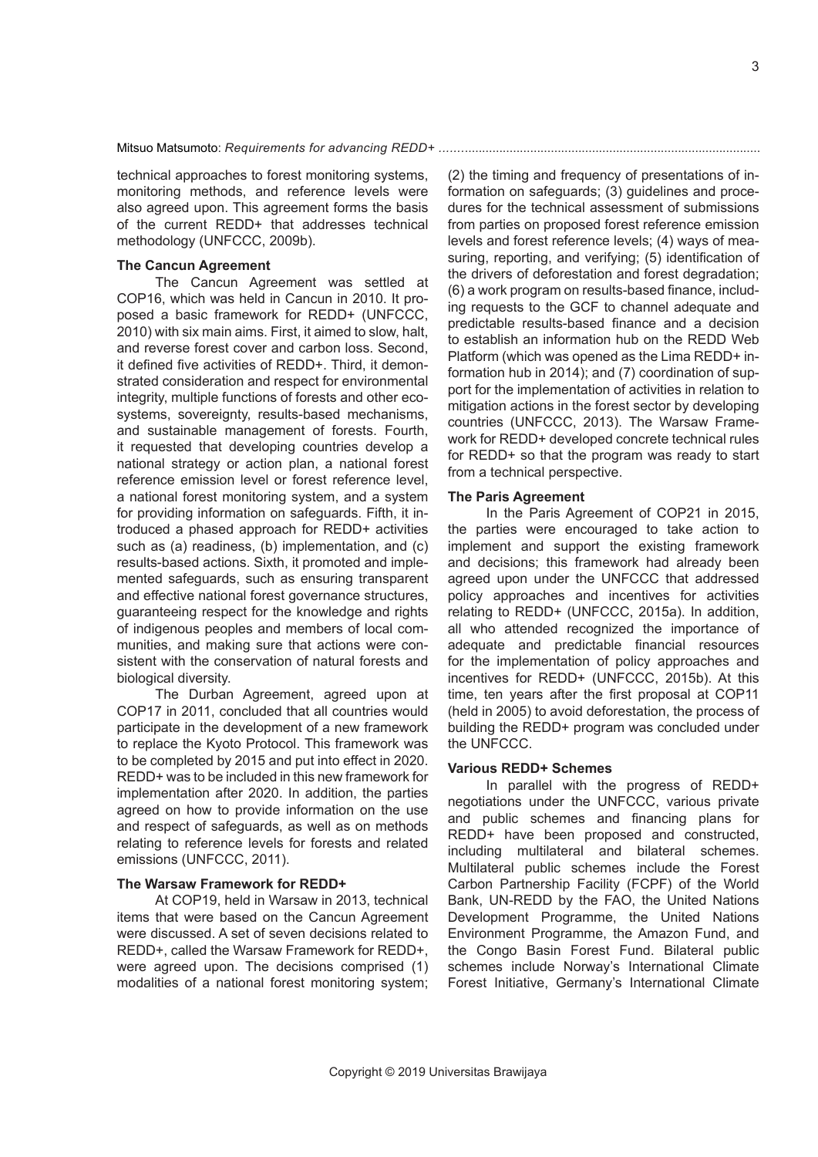technical approaches to forest monitoring systems, monitoring methods, and reference levels were also agreed upon. This agreement forms the basis of the current REDD+ that addresses technical methodology (UNFCCC, 2009b).

## **The Cancun Agreement**

The Cancun Agreement was settled at COP16, which was held in Cancun in 2010. It proposed a basic framework for REDD+ (UNFCCC, 2010) with six main aims. First, it aimed to slow, halt, and reverse forest cover and carbon loss. Second, it defined five activities of REDD+. Third, it demonstrated consideration and respect for environmental integrity, multiple functions of forests and other ecosystems, sovereignty, results-based mechanisms, and sustainable management of forests. Fourth, it requested that developing countries develop a national strategy or action plan, a national forest reference emission level or forest reference level, a national forest monitoring system, and a system for providing information on safeguards. Fifth, it introduced a phased approach for REDD+ activities such as (a) readiness, (b) implementation, and (c) results-based actions. Sixth, it promoted and implemented safeguards, such as ensuring transparent and effective national forest governance structures, guaranteeing respect for the knowledge and rights of indigenous peoples and members of local communities, and making sure that actions were consistent with the conservation of natural forests and biological diversity.

The Durban Agreement, agreed upon at COP17 in 2011, concluded that all countries would participate in the development of a new framework to replace the Kyoto Protocol. This framework was to be completed by 2015 and put into effect in 2020. REDD+ was to be included in this new framework for implementation after 2020. In addition, the parties agreed on how to provide information on the use and respect of safeguards, as well as on methods relating to reference levels for forests and related emissions (UNFCCC, 2011).

#### **The Warsaw Framework for REDD+**

At COP19, held in Warsaw in 2013, technical items that were based on the Cancun Agreement were discussed. A set of seven decisions related to REDD+, called the Warsaw Framework for REDD+, were agreed upon. The decisions comprised (1) modalities of a national forest monitoring system; (2) the timing and frequency of presentations of information on safeguards; (3) guidelines and procedures for the technical assessment of submissions from parties on proposed forest reference emission levels and forest reference levels; (4) ways of measuring, reporting, and verifying; (5) identification of the drivers of deforestation and forest degradation; (6) a work program on results-based finance, including requests to the GCF to channel adequate and predictable results-based finance and a decision to establish an information hub on the REDD Web Platform (which was opened as the Lima REDD+ information hub in 2014); and (7) coordination of support for the implementation of activities in relation to mitigation actions in the forest sector by developing countries (UNFCCC, 2013). The Warsaw Framework for REDD+ developed concrete technical rules for REDD+ so that the program was ready to start from a technical perspective.

#### **The Paris Agreement**

In the Paris Agreement of COP21 in 2015, the parties were encouraged to take action to implement and support the existing framework and decisions; this framework had already been agreed upon under the UNFCCC that addressed policy approaches and incentives for activities relating to REDD+ (UNFCCC, 2015a). In addition, all who attended recognized the importance of adequate and predictable financial resources for the implementation of policy approaches and incentives for REDD+ (UNFCCC, 2015b). At this time, ten years after the first proposal at COP11 (held in 2005) to avoid deforestation, the process of building the REDD+ program was concluded under the UNFCCC.

### **Various REDD+ Schemes**

In parallel with the progress of REDD+ negotiations under the UNFCCC, various private and public schemes and financing plans for REDD+ have been proposed and constructed, including multilateral and bilateral schemes. Multilateral public schemes include the Forest Carbon Partnership Facility (FCPF) of the World Bank, UN-REDD by the FAO, the United Nations Development Programme, the United Nations Environment Programme, the Amazon Fund, and the Congo Basin Forest Fund. Bilateral public schemes include Norway's International Climate Forest Initiative, Germany's International Climate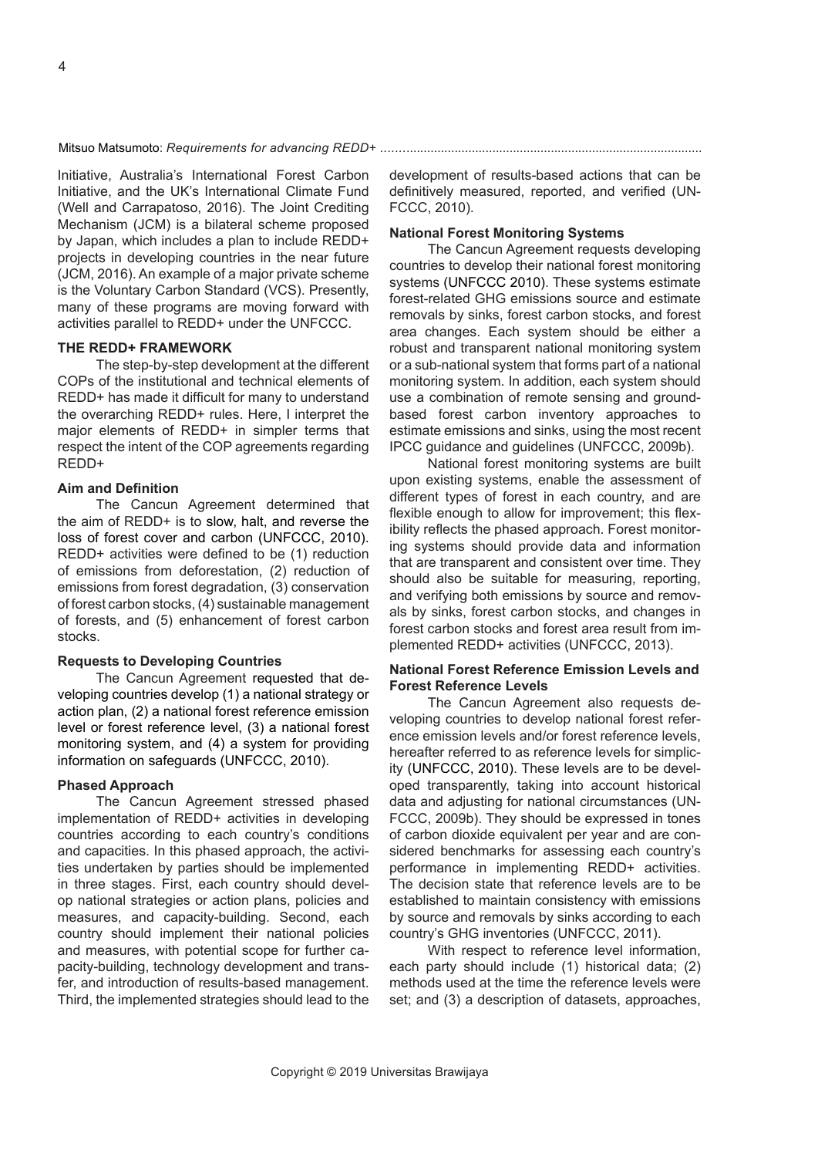Initiative, Australia's International Forest Carbon Initiative, and the UK's International Climate Fund (Well and Carrapatoso, 2016). The Joint Crediting Mechanism (JCM) is a bilateral scheme proposed by Japan, which includes a plan to include REDD+ projects in developing countries in the near future (JCM, 2016). An example of a major private scheme is the Voluntary Carbon Standard (VCS). Presently, many of these programs are moving forward with activities parallel to REDD+ under the UNFCCC.

## **THE REDD+ FRAMEWORK**

The step-by-step development at the different COPs of the institutional and technical elements of REDD+ has made it difficult for many to understand the overarching REDD+ rules. Here, I interpret the major elements of REDD+ in simpler terms that respect the intent of the COP agreements regarding REDD+

## **Aim and Definition**

The Cancun Agreement determined that the aim of REDD+ is to slow, halt, and reverse the loss of forest cover and carbon (UNFCCC, 2010). REDD+ activities were defined to be (1) reduction of emissions from deforestation, (2) reduction of emissions from forest degradation, (3) conservation of forest carbon stocks, (4) sustainable management of forests, and (5) enhancement of forest carbon stocks.

### **Requests to Developing Countries**

The Cancun Agreement requested that developing countries develop (1) a national strategy or action plan, (2) a national forest reference emission level or forest reference level, (3) a national forest monitoring system, and (4) a system for providing information on safeguards (UNFCCC, 2010).

#### **Phased Approach**

The Cancun Agreement stressed phased implementation of REDD+ activities in developing countries according to each country's conditions and capacities. In this phased approach, the activities undertaken by parties should be implemented in three stages. First, each country should develop national strategies or action plans, policies and measures, and capacity-building. Second, each country should implement their national policies and measures, with potential scope for further capacity-building, technology development and transfer, and introduction of results-based management. Third, the implemented strategies should lead to the development of results-based actions that can be definitively measured, reported, and verified (UN-FCCC, 2010).

#### **National Forest Monitoring Systems**

The Cancun Agreement requests developing countries to develop their national forest monitoring systems (UNFCCC 2010). These systems estimate forest-related GHG emissions source and estimate removals by sinks, forest carbon stocks, and forest area changes. Each system should be either a robust and transparent national monitoring system or a sub-national system that forms part of a national monitoring system. In addition, each system should use a combination of remote sensing and groundbased forest carbon inventory approaches to estimate emissions and sinks, using the most recent IPCC guidance and guidelines (UNFCCC, 2009b).

National forest monitoring systems are built upon existing systems, enable the assessment of different types of forest in each country, and are flexible enough to allow for improvement; this flexibility reflects the phased approach. Forest monitoring systems should provide data and information that are transparent and consistent over time. They should also be suitable for measuring, reporting, and verifying both emissions by source and removals by sinks, forest carbon stocks, and changes in forest carbon stocks and forest area result from implemented REDD+ activities (UNFCCC, 2013).

## **National Forest Reference Emission Levels and Forest Reference Levels**

The Cancun Agreement also requests developing countries to develop national forest reference emission levels and/or forest reference levels, hereafter referred to as reference levels for simplicity (UNFCCC, 2010). These levels are to be developed transparently, taking into account historical data and adjusting for national circumstances (UN-FCCC, 2009b). They should be expressed in tones of carbon dioxide equivalent per year and are considered benchmarks for assessing each country's performance in implementing REDD+ activities. The decision state that reference levels are to be established to maintain consistency with emissions by source and removals by sinks according to each country's GHG inventories (UNFCCC, 2011).

With respect to reference level information, each party should include (1) historical data; (2) methods used at the time the reference levels were set; and (3) a description of datasets, approaches,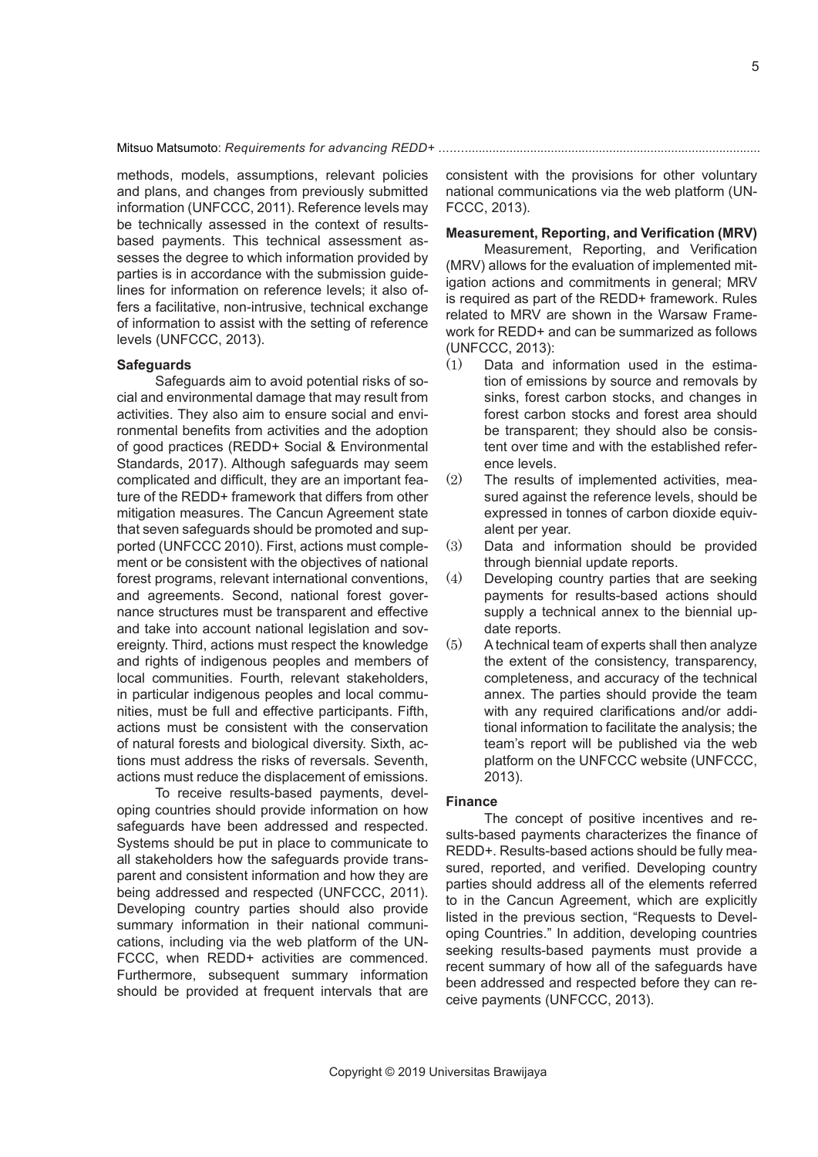methods, models, assumptions, relevant policies and plans, and changes from previously submitted information (UNFCCC, 2011). Reference levels may be technically assessed in the context of resultsbased payments. This technical assessment assesses the degree to which information provided by parties is in accordance with the submission guidelines for information on reference levels; it also offers a facilitative, non-intrusive, technical exchange of information to assist with the setting of reference levels (UNFCCC, 2013).

#### **Safeguards**

Safeguards aim to avoid potential risks of social and environmental damage that may result from activities. They also aim to ensure social and environmental benefits from activities and the adoption of good practices (REDD+ Social & Environmental Standards, 2017). Although safeguards may seem complicated and difficult, they are an important feature of the REDD+ framework that differs from other mitigation measures. The Cancun Agreement state that seven safeguards should be promoted and supported (UNFCCC 2010). First, actions must complement or be consistent with the objectives of national forest programs, relevant international conventions, and agreements. Second, national forest governance structures must be transparent and effective and take into account national legislation and sovereignty. Third, actions must respect the knowledge and rights of indigenous peoples and members of local communities. Fourth, relevant stakeholders, in particular indigenous peoples and local communities, must be full and effective participants. Fifth, actions must be consistent with the conservation of natural forests and biological diversity. Sixth, actions must address the risks of reversals. Seventh, actions must reduce the displacement of emissions.

To receive results-based payments, developing countries should provide information on how safeguards have been addressed and respected. Systems should be put in place to communicate to all stakeholders how the safeguards provide transparent and consistent information and how they are being addressed and respected (UNFCCC, 2011). Developing country parties should also provide summary information in their national communications, including via the web platform of the UN-FCCC, when REDD+ activities are commenced. Furthermore, subsequent summary information should be provided at frequent intervals that are

consistent with the provisions for other voluntary national communications via the web platform (UN-FCCC, 2013).

## **Measurement, Reporting, and Verification (MRV)**

Measurement, Reporting, and Verification (MRV) allows for the evaluation of implemented mitigation actions and commitments in general; MRV is required as part of the REDD+ framework. Rules related to MRV are shown in the Warsaw Framework for REDD+ and can be summarized as follows (UNFCCC, 2013):

- (1) Data and information used in the estimation of emissions by source and removals by sinks, forest carbon stocks, and changes in forest carbon stocks and forest area should be transparent; they should also be consistent over time and with the established reference levels.
- (2) The results of implemented activities, measured against the reference levels, should be expressed in tonnes of carbon dioxide equivalent per year.
- (3) Data and information should be provided through biennial update reports.
- (4) Developing country parties that are seeking payments for results-based actions should supply a technical annex to the biennial update reports.
- (5) A technical team of experts shall then analyze the extent of the consistency, transparency, completeness, and accuracy of the technical annex. The parties should provide the team with any required clarifications and/or additional information to facilitate the analysis; the team's report will be published via the web platform on the UNFCCC website (UNFCCC, 2013).

## **Finance**

The concept of positive incentives and results-based payments characterizes the finance of REDD+. Results-based actions should be fully measured, reported, and verified. Developing country parties should address all of the elements referred to in the Cancun Agreement, which are explicitly listed in the previous section, "Requests to Developing Countries." In addition, developing countries seeking results-based payments must provide a recent summary of how all of the safeguards have been addressed and respected before they can receive payments (UNFCCC, 2013).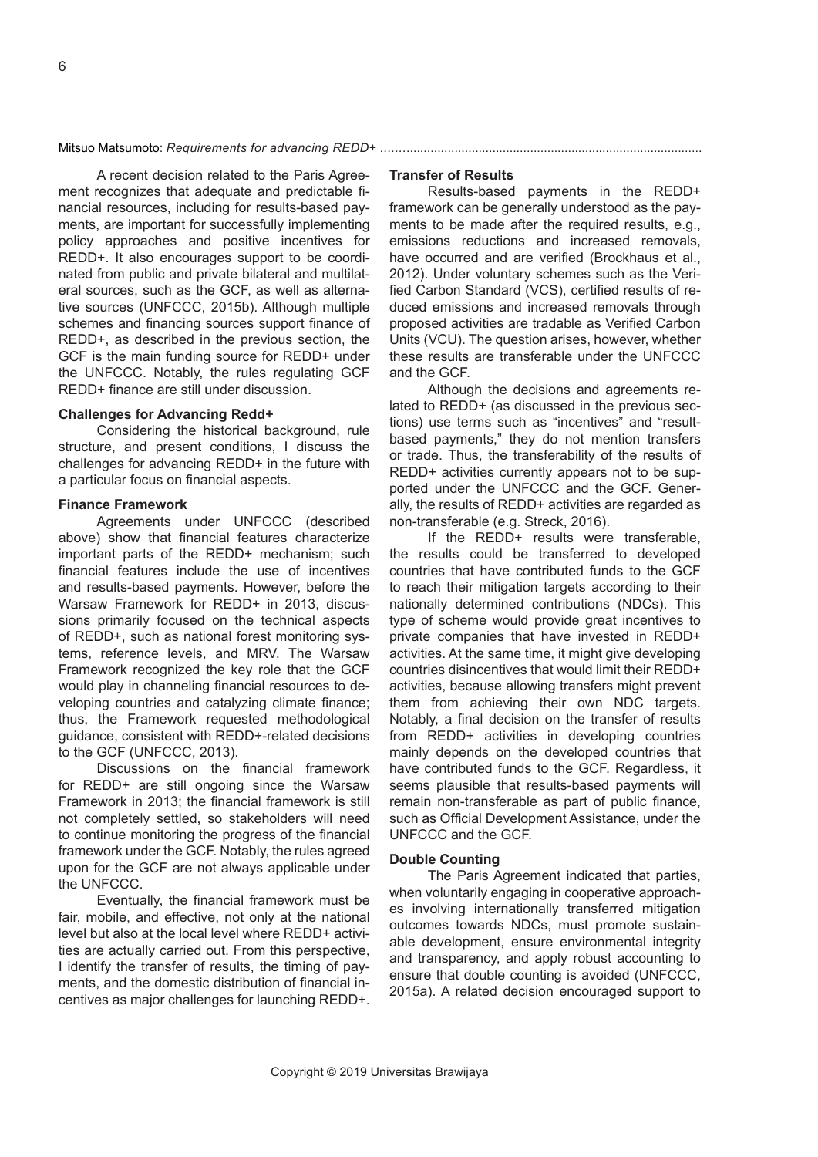A recent decision related to the Paris Agreement recognizes that adequate and predictable financial resources, including for results-based payments, are important for successfully implementing policy approaches and positive incentives for REDD+. It also encourages support to be coordinated from public and private bilateral and multilateral sources, such as the GCF, as well as alternative sources (UNFCCC, 2015b). Although multiple schemes and financing sources support finance of REDD+, as described in the previous section, the GCF is the main funding source for REDD+ under the UNFCCC. Notably, the rules regulating GCF REDD+ finance are still under discussion.

#### **Challenges for Advancing Redd+**

Considering the historical background, rule structure, and present conditions, I discuss the challenges for advancing REDD+ in the future with a particular focus on financial aspects.

#### **Finance Framework**

Agreements under UNFCCC (described above) show that financial features characterize important parts of the REDD+ mechanism; such financial features include the use of incentives and results-based payments. However, before the Warsaw Framework for REDD+ in 2013, discussions primarily focused on the technical aspects of REDD+, such as national forest monitoring systems, reference levels, and MRV. The Warsaw Framework recognized the key role that the GCF would play in channeling financial resources to developing countries and catalyzing climate finance; thus, the Framework requested methodological guidance, consistent with REDD+-related decisions to the GCF (UNFCCC, 2013).

Discussions on the financial framework for REDD+ are still ongoing since the Warsaw Framework in 2013; the financial framework is still not completely settled, so stakeholders will need to continue monitoring the progress of the financial framework under the GCF. Notably, the rules agreed upon for the GCF are not always applicable under the UNFCCC.

Eventually, the financial framework must be fair, mobile, and effective, not only at the national level but also at the local level where REDD+ activities are actually carried out. From this perspective, I identify the transfer of results, the timing of payments, and the domestic distribution of financial incentives as major challenges for launching REDD+.

## **Transfer of Results**

Results-based payments in the REDD+ framework can be generally understood as the payments to be made after the required results, e.g., emissions reductions and increased removals, have occurred and are verified (Brockhaus et al., 2012). Under voluntary schemes such as the Verified Carbon Standard (VCS), certified results of reduced emissions and increased removals through proposed activities are tradable as Verified Carbon Units (VCU). The question arises, however, whether these results are transferable under the UNFCCC and the GCF.

Although the decisions and agreements related to REDD+ (as discussed in the previous sections) use terms such as "incentives" and "resultbased payments," they do not mention transfers or trade. Thus, the transferability of the results of REDD+ activities currently appears not to be supported under the UNFCCC and the GCF. Generally, the results of REDD+ activities are regarded as non-transferable (e.g. Streck, 2016).

If the REDD+ results were transferable, the results could be transferred to developed countries that have contributed funds to the GCF to reach their mitigation targets according to their nationally determined contributions (NDCs). This type of scheme would provide great incentives to private companies that have invested in REDD+ activities. At the same time, it might give developing countries disincentives that would limit their REDD+ activities, because allowing transfers might prevent them from achieving their own NDC targets. Notably, a final decision on the transfer of results from REDD+ activities in developing countries mainly depends on the developed countries that have contributed funds to the GCF. Regardless, it seems plausible that results-based payments will remain non-transferable as part of public finance, such as Official Development Assistance, under the UNFCCC and the GCF.

## **Double Counting**

The Paris Agreement indicated that parties, when voluntarily engaging in cooperative approaches involving internationally transferred mitigation outcomes towards NDCs, must promote sustainable development, ensure environmental integrity and transparency, and apply robust accounting to ensure that double counting is avoided (UNFCCC, 2015a). A related decision encouraged support to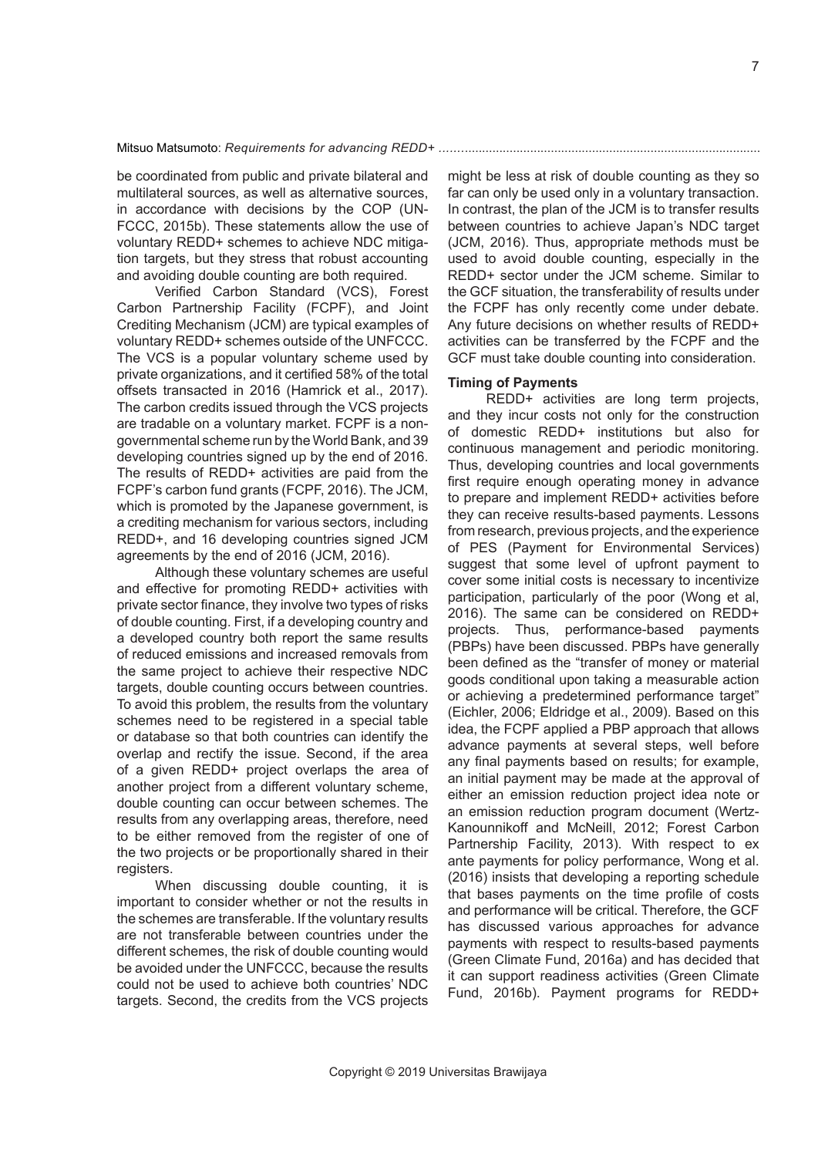be coordinated from public and private bilateral and multilateral sources, as well as alternative sources, in accordance with decisions by the COP (UN-FCCC, 2015b). These statements allow the use of voluntary REDD+ schemes to achieve NDC mitigation targets, but they stress that robust accounting and avoiding double counting are both required.

Verified Carbon Standard (VCS), Forest Carbon Partnership Facility (FCPF), and Joint Crediting Mechanism (JCM) are typical examples of voluntary REDD+ schemes outside of the UNFCCC. The VCS is a popular voluntary scheme used by private organizations, and it certified 58% of the total offsets transacted in 2016 (Hamrick et al., 2017). The carbon credits issued through the VCS projects are tradable on a voluntary market. FCPF is a nongovernmental scheme run by the World Bank, and 39 developing countries signed up by the end of 2016. The results of REDD+ activities are paid from the FCPF's carbon fund grants (FCPF, 2016). The JCM, which is promoted by the Japanese government, is a crediting mechanism for various sectors, including REDD+, and 16 developing countries signed JCM agreements by the end of 2016 (JCM, 2016).

Although these voluntary schemes are useful and effective for promoting REDD+ activities with private sector finance, they involve two types of risks of double counting. First, if a developing country and a developed country both report the same results of reduced emissions and increased removals from the same project to achieve their respective NDC targets, double counting occurs between countries. To avoid this problem, the results from the voluntary schemes need to be registered in a special table or database so that both countries can identify the overlap and rectify the issue. Second, if the area of a given REDD+ project overlaps the area of another project from a different voluntary scheme, double counting can occur between schemes. The results from any overlapping areas, therefore, need to be either removed from the register of one of the two projects or be proportionally shared in their registers.

When discussing double counting, it is important to consider whether or not the results in the schemes are transferable. If the voluntary results are not transferable between countries under the different schemes, the risk of double counting would be avoided under the UNFCCC, because the results could not be used to achieve both countries' NDC targets. Second, the credits from the VCS projects might be less at risk of double counting as they so far can only be used only in a voluntary transaction. In contrast, the plan of the JCM is to transfer results between countries to achieve Japan's NDC target (JCM, 2016). Thus, appropriate methods must be used to avoid double counting, especially in the REDD+ sector under the JCM scheme. Similar to the GCF situation, the transferability of results under the FCPF has only recently come under debate. Any future decisions on whether results of REDD+ activities can be transferred by the FCPF and the GCF must take double counting into consideration.

## **Timing of Payments**

REDD+ activities are long term projects, and they incur costs not only for the construction of domestic REDD+ institutions but also for continuous management and periodic monitoring. Thus, developing countries and local governments first require enough operating money in advance to prepare and implement REDD+ activities before they can receive results-based payments. Lessons from research, previous projects, and the experience of PES (Payment for Environmental Services) suggest that some level of upfront payment to cover some initial costs is necessary to incentivize participation, particularly of the poor (Wong et al, 2016). The same can be considered on REDD+ projects. Thus, performance-based payments (PBPs) have been discussed. PBPs have generally been defined as the "transfer of money or material goods conditional upon taking a measurable action or achieving a predetermined performance target" (Eichler, 2006; Eldridge et al., 2009). Based on this idea, the FCPF applied a PBP approach that allows advance payments at several steps, well before any final payments based on results; for example, an initial payment may be made at the approval of either an emission reduction project idea note or an emission reduction program document (Wertz-Kanounnikoff and McNeill, 2012; Forest Carbon Partnership Facility, 2013). With respect to ex ante payments for policy performance, Wong et al. (2016) insists that developing a reporting schedule that bases payments on the time profile of costs and performance will be critical. Therefore, the GCF has discussed various approaches for advance payments with respect to results-based payments (Green Climate Fund, 2016a) and has decided that it can support readiness activities (Green Climate Fund, 2016b). Payment programs for REDD+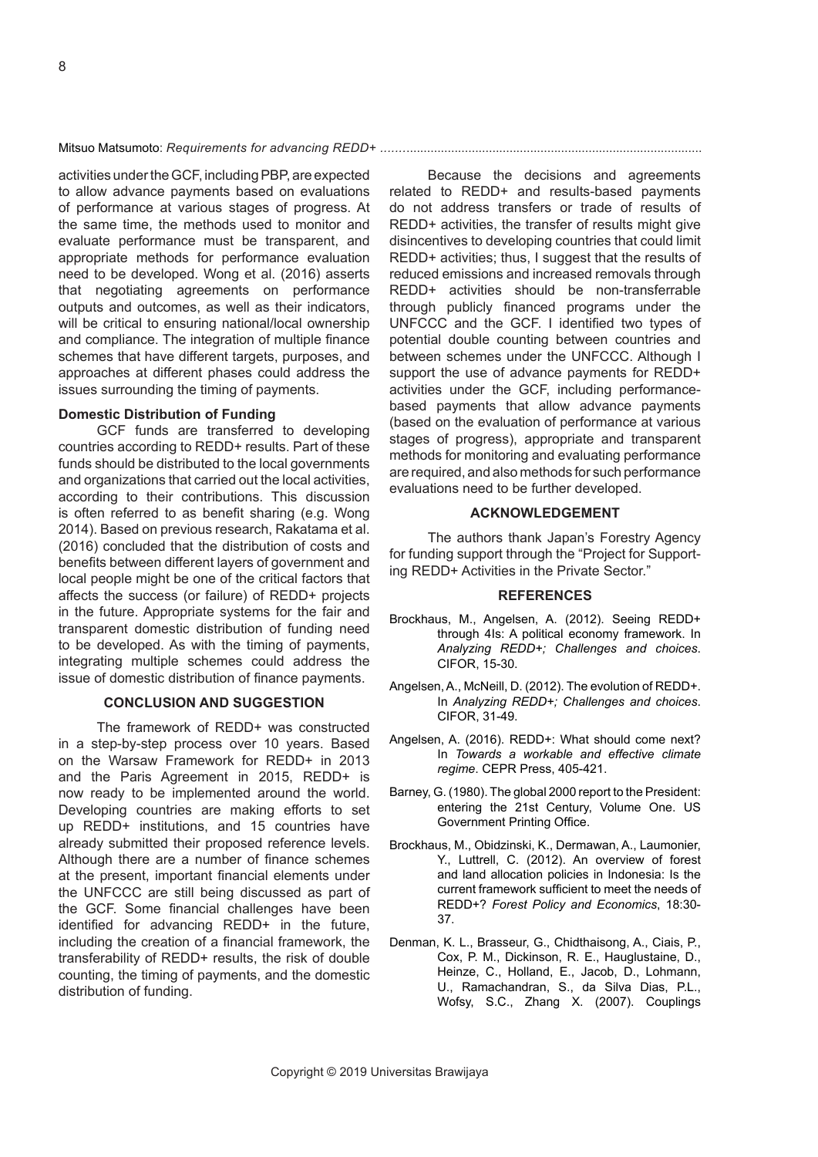activities under the GCF, including PBP, are expected to allow advance payments based on evaluations of performance at various stages of progress. At the same time, the methods used to monitor and evaluate performance must be transparent, and appropriate methods for performance evaluation need to be developed. Wong et al. (2016) asserts that negotiating agreements on performance outputs and outcomes, as well as their indicators, will be critical to ensuring national/local ownership and compliance. The integration of multiple finance schemes that have different targets, purposes, and approaches at different phases could address the issues surrounding the timing of payments.

## **Domestic Distribution of Funding**

GCF funds are transferred to developing countries according to REDD+ results. Part of these funds should be distributed to the local governments and organizations that carried out the local activities, according to their contributions. This discussion is often referred to as benefit sharing (e.g. Wong 2014). Based on previous research, Rakatama et al. (2016) concluded that the distribution of costs and benefits between different layers of government and local people might be one of the critical factors that affects the success (or failure) of REDD+ projects in the future. Appropriate systems for the fair and transparent domestic distribution of funding need to be developed. As with the timing of payments, integrating multiple schemes could address the issue of domestic distribution of finance payments.

## **CONCLUSION AND SUGGESTION**

The framework of REDD+ was constructed in a step-by-step process over 10 years. Based on the Warsaw Framework for REDD+ in 2013 and the Paris Agreement in 2015, REDD+ is now ready to be implemented around the world. Developing countries are making efforts to set up REDD+ institutions, and 15 countries have already submitted their proposed reference levels. Although there are a number of finance schemes at the present, important financial elements under the UNFCCC are still being discussed as part of the GCF. Some financial challenges have been identified for advancing REDD+ in the future, including the creation of a financial framework, the transferability of REDD+ results, the risk of double counting, the timing of payments, and the domestic distribution of funding.

Because the decisions and agreements related to REDD+ and results-based payments do not address transfers or trade of results of REDD+ activities, the transfer of results might give disincentives to developing countries that could limit REDD+ activities; thus, I suggest that the results of reduced emissions and increased removals through REDD+ activities should be non-transferrable through publicly financed programs under the UNFCCC and the GCF. I identified two types of potential double counting between countries and between schemes under the UNFCCC. Although I support the use of advance payments for REDD+ activities under the GCF, including performancebased payments that allow advance payments (based on the evaluation of performance at various stages of progress), appropriate and transparent methods for monitoring and evaluating performance are required, and also methods for such performance evaluations need to be further developed.

#### **ACKNOWLEDGEMENT**

The authors thank Japan's Forestry Agency for funding support through the "Project for Supporting REDD+ Activities in the Private Sector."

#### **REFERENCES**

- Brockhaus, M., Angelsen, A. (2012). Seeing REDD+ through 4Is: A political economy framework. In *Analyzing REDD+; Challenges and choices*. CIFOR, 15-30.
- Angelsen, A., McNeill, D. (2012). The evolution of REDD+. In *Analyzing REDD+; Challenges and choices*. CIFOR, 31-49.
- Angelsen, A. (2016). REDD+: What should come next? In *Towards a workable and effective climate regime*. CEPR Press, 405-421.
- Barney, G. (1980). The global 2000 report to the President: entering the 21st Century, Volume One. US Government Printing Office.
- Brockhaus, M., Obidzinski, K., Dermawan, A., Laumonier, Y., Luttrell, C. (2012). An overview of forest and land allocation policies in Indonesia: Is the current framework sufficient to meet the needs of REDD+? *Forest Policy and Economics*, 18:30- 37.
- Denman, K. L., Brasseur, G., Chidthaisong, A., Ciais, P., Cox, P. M., Dickinson, R. E., Hauglustaine, D., Heinze, C., Holland, E., Jacob, D., Lohmann, U., Ramachandran, S., da Silva Dias, P.L., Wofsy, S.C., Zhang X. (2007). Couplings